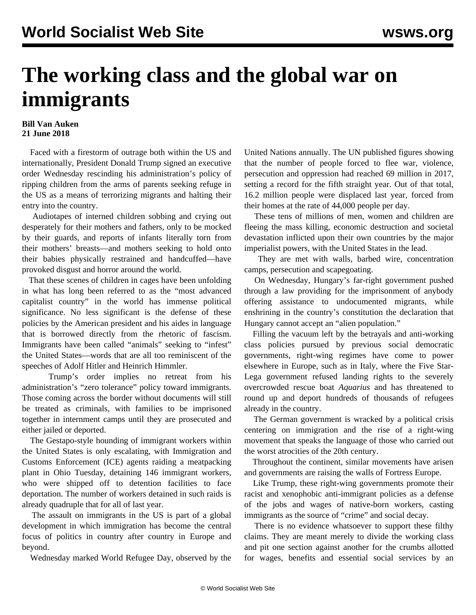## **The working class and the global war on immigrants**

## **Bill Van Auken 21 June 2018**

 Faced with a firestorm of outrage both within the US and internationally, President Donald Trump signed an executive order Wednesday rescinding his administration's policy of ripping children from the arms of parents seeking refuge in the US as a means of terrorizing migrants and halting their entry into the country.

 Audiotapes of interned children sobbing and crying out desperately for their mothers and fathers, only to be mocked by their guards, and reports of infants literally torn from their mothers' breasts—and mothers seeking to hold onto their babies physically restrained and handcuffed—have provoked disgust and horror around the world.

 That these scenes of children in cages have been unfolding in what has long been referred to as the "most advanced capitalist country" in the world has immense political significance. No less significant is the defense of these policies by the American president and his aides in language that is borrowed directly from the rhetoric of fascism. Immigrants have been called "animals" seeking to "infest" the United States—words that are all too reminiscent of the speeches of Adolf Hitler and Heinrich Himmler.

 Trump's order implies no retreat from his administration's "zero tolerance" policy toward immigrants. Those coming across the border without documents will still be treated as criminals, with families to be imprisoned together in internment camps until they are prosecuted and either jailed or deported.

 The Gestapo-style hounding of immigrant workers within the United States is only escalating, with Immigration and Customs Enforcement (ICE) agents raiding a meatpacking plant in Ohio Tuesday, detaining 146 immigrant workers, who were shipped off to detention facilities to face deportation. The number of workers detained in such raids is already quadruple that for all of last year.

 The assault on immigrants in the US is part of a global development in which immigration has become the central focus of politics in country after country in Europe and beyond.

Wednesday marked World Refugee Day, observed by the

United Nations annually. The UN published figures showing that the number of people forced to flee war, violence, persecution and oppression had reached 69 million in 2017, setting a record for the fifth straight year. Out of that total, 16.2 million people were displaced last year, forced from their homes at the rate of 44,000 people per day.

 These tens of millions of men, women and children are fleeing the mass killing, economic destruction and societal devastation inflicted upon their own countries by the major imperialist powers, with the United States in the lead.

 They are met with walls, barbed wire, concentration camps, persecution and scapegoating.

 On Wednesday, Hungary's far-right government pushed through a law providing for the imprisonment of anybody offering assistance to undocumented migrants, while enshrining in the country's constitution the declaration that Hungary cannot accept an "alien population."

 Filling the vacuum left by the betrayals and anti-working class policies pursued by previous social democratic governments, right-wing regimes have come to power elsewhere in Europe, such as in Italy, where the Five Star-Lega government refused landing rights to the severely overcrowded rescue boat *Aquarius* and has threatened to round up and deport hundreds of thousands of refugees already in the country.

 The German government is wracked by a political crisis centering on immigration and the rise of a right-wing movement that speaks the language of those who carried out the worst atrocities of the 20th century.

 Throughout the continent, similar movements have arisen and governments are raising the walls of Fortress Europe.

 Like Trump, these right-wing governments promote their racist and xenophobic anti-immigrant policies as a defense of the jobs and wages of native-born workers, casting immigrants as the source of "crime" and social decay.

 There is no evidence whatsoever to support these filthy claims. They are meant merely to divide the working class and pit one section against another for the crumbs allotted for wages, benefits and essential social services by an